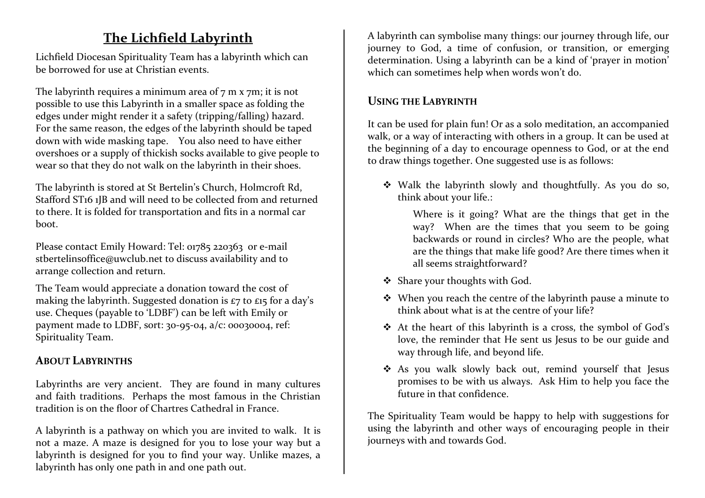## **The Lichfield Labyrinth**

Lichfield Diocesan Spirituality Team has a labyrinth which can be borrowed for use at Christian events.

The labyrinth requires a minimum area of  $7 \text{ m} \times 7 \text{ m}$ ; it is not possible to use this Labyrinth in a smaller space as folding the edges under might render it a safety (tripping/falling) hazard. For the same reason, the edges of the labyrinth should be taped down with wide masking tape. You also need to have either overshoes or a supply of thickish socks available to give people to wear so that they do not walk on the labyrinth in their shoes.

The labyrinth is stored at St Bertelin's Church, Holmcroft Rd, Stafford ST16 1JB and will need to be collected from and returned to there. It is folded for transportation and fits in a normal car boot.

Please contact Emily Howard: Tel: 01785 220363 or e-mail stbertelinsoffice@uwclub.net to discuss availability and to arrange collection and return.

The Team would appreciate a donation toward the cost of making the labyrinth. Suggested donation is  $\epsilon$ 7 to  $\epsilon$ 15 for a day's use. Cheques (payable to 'LDBF') can be left with Emily or payment made to LDBF, sort: 30-95-04, a/c: 00030004, ref: Spirituality Team.

## **ABOUT LABYRINTHS**

Labyrinths are very ancient. They are found in many cultures and faith traditions. Perhaps the most famous in the Christian tradition is on the floor of Chartres Cathedral in France.

A labyrinth is a pathway on which you are invited to walk. It is not a maze. A maze is designed for you to lose your way but a labyrinth is designed for you to find your way. Unlike mazes, a labyrinth has only one path in and one path out.

A labyrinth can symbolise many things: our journey through life, our journey to God, a time of confusion, or transition, or emerging determination. Using a labyrinth can be a kind of 'prayer in motion' which can sometimes help when words won't do.

## **USING THE LABYRINTH**

It can be used for plain fun! Or as a solo meditation, an accompanied walk, or a way of interacting with others in a group. It can be used at the beginning of a day to encourage openness to God, or at the end to draw things together. One suggested use is as follows:

 $\bullet$  Walk the labyrinth slowly and thoughtfully. As you do so, think about your life : think about your life.:

Where is it going? What are the things that get in the way? When are the times that you seem to be going backwards or round in circles? Who are the people, what are the things that make life good? Are there times when it all seems straightforward?

- $\clubsuit$  Share your thoughts with God.
- $\bullet$  When you reach the centre of the labyrinth pause a minute to think about what is at the sentre of your life? think about what is at the centre of your life?
- $\bullet$  At the heart of this labyrinth is a cross, the symbol of God's lave the symbol spatial and love, the reminder that He sent us Jesus to be our guide and way through life, and beyond life.
- $\bullet$  As you walk slowly back out, remind yourself that Jesus<br>remines to be with us always. Ack U im to help you face the promises to be with us always. Ask Him to help you face the future in that confidence.

The Spirituality Team would be happy to help with suggestions for using the labyrinth and other ways of encouraging people in their journeys with and towards God.